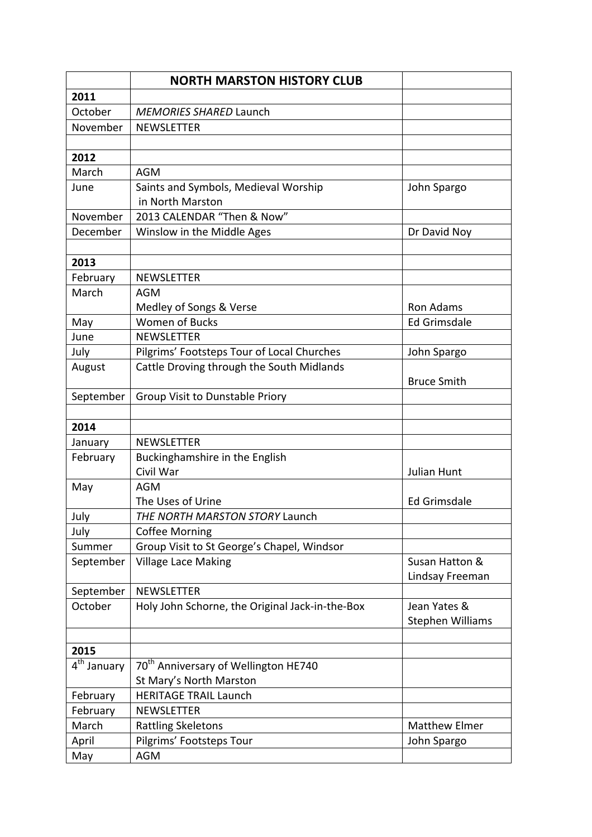|                                    | <b>NORTH MARSTON HISTORY CLUB</b>                |                      |
|------------------------------------|--------------------------------------------------|----------------------|
| 2011                               |                                                  |                      |
| October                            | <b>MEMORIES SHARED Launch</b>                    |                      |
| November                           | <b>NEWSLETTER</b>                                |                      |
|                                    |                                                  |                      |
| 2012                               |                                                  |                      |
| March                              | <b>AGM</b>                                       |                      |
| June                               | Saints and Symbols, Medieval Worship             | John Spargo          |
|                                    | in North Marston                                 |                      |
| November                           | 2013 CALENDAR "Then & Now"                       |                      |
| December                           | Winslow in the Middle Ages                       | Dr David Noy         |
|                                    |                                                  |                      |
| 2013                               |                                                  |                      |
| February                           | <b>NEWSLETTER</b>                                |                      |
| March                              | AGM                                              |                      |
|                                    | Medley of Songs & Verse                          | <b>Ron Adams</b>     |
| May                                | <b>Women of Bucks</b>                            | Ed Grimsdale         |
| June                               | <b>NEWSLETTER</b>                                |                      |
| July                               | Pilgrims' Footsteps Tour of Local Churches       | John Spargo          |
| August                             | Cattle Droving through the South Midlands        |                      |
|                                    |                                                  | <b>Bruce Smith</b>   |
| September                          | Group Visit to Dunstable Priory                  |                      |
|                                    |                                                  |                      |
| 2014                               |                                                  |                      |
| January                            | <b>NEWSLETTER</b>                                |                      |
| February                           | Buckinghamshire in the English                   |                      |
|                                    | Civil War                                        | Julian Hunt          |
| May                                | <b>AGM</b>                                       |                      |
|                                    | The Uses of Urine                                | <b>Ed Grimsdale</b>  |
| July                               | THE NORTH MARSTON STORY Launch                   |                      |
| July                               | <b>Coffee Morning</b>                            |                      |
| Summer                             | Group Visit to St George's Chapel, Windsor       |                      |
| September                          | <b>Village Lace Making</b>                       | Susan Hatton &       |
|                                    |                                                  | Lindsay Freeman      |
| September                          | <b>NEWSLETTER</b>                                |                      |
| October                            | Holy John Schorne, the Original Jack-in-the-Box  | Jean Yates &         |
|                                    |                                                  | Stephen Williams     |
|                                    |                                                  |                      |
| 2015                               |                                                  |                      |
| $\overline{4}^{\text{th}}$ January | 70 <sup>th</sup> Anniversary of Wellington HE740 |                      |
|                                    | St Mary's North Marston                          |                      |
| February                           | <b>HERITAGE TRAIL Launch</b>                     |                      |
| February                           | <b>NEWSLETTER</b>                                |                      |
| March                              | <b>Rattling Skeletons</b>                        | <b>Matthew Elmer</b> |
| April                              | Pilgrims' Footsteps Tour                         | John Spargo          |
| May                                | <b>AGM</b>                                       |                      |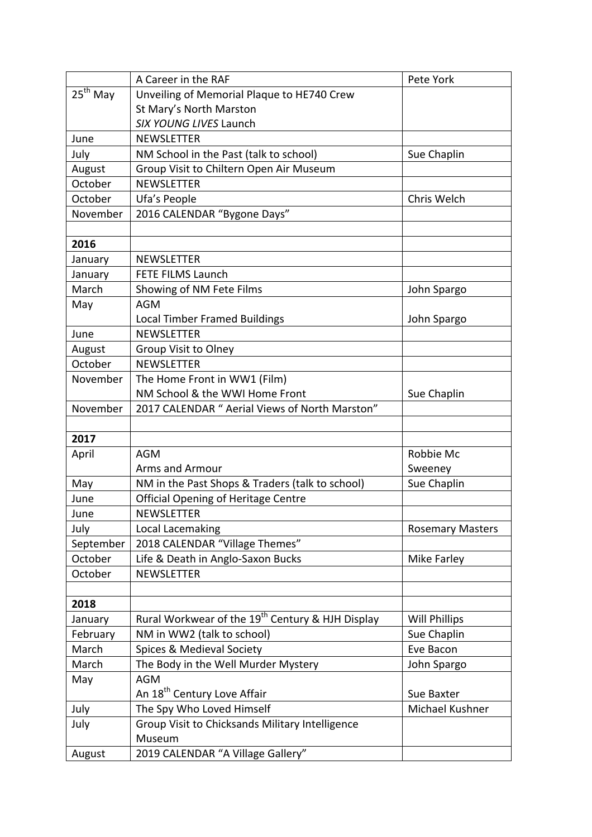| $25th$ May<br>Unveiling of Memorial Plaque to HE740 Crew<br>St Mary's North Marston<br>SIX YOUNG LIVES Launch<br>June<br><b>NEWSLETTER</b><br>NM School in the Past (talk to school)<br>Sue Chaplin<br>July<br>Group Visit to Chiltern Open Air Museum<br>August<br>October<br><b>NEWSLETTER</b><br>October<br>Ufa's People<br>Chris Welch<br>2016 CALENDAR "Bygone Days"<br>November<br>2016<br><b>NEWSLETTER</b><br>January<br><b>FETE FILMS Launch</b><br>January<br>March<br>Showing of NM Fete Films<br>John Spargo<br><b>AGM</b><br>May<br><b>Local Timber Framed Buildings</b><br>John Spargo<br><b>NEWSLETTER</b><br>June<br>August<br>Group Visit to Olney<br>October<br><b>NEWSLETTER</b><br>The Home Front in WW1 (Film)<br>November<br>NM School & the WWI Home Front<br>Sue Chaplin<br>2017 CALENDAR " Aerial Views of North Marston"<br>November<br>2017<br>April<br>Robbie Mc<br>AGM<br><b>Arms and Armour</b><br>Sweeney<br>Sue Chaplin<br>May<br>NM in the Past Shops & Traders (talk to school)<br><b>Official Opening of Heritage Centre</b><br>June<br><b>NEWSLETTER</b><br>June<br>July<br>Local Lacemaking<br><b>Rosemary Masters</b><br>2018 CALENDAR "Village Themes"<br>September<br>October<br>Life & Death in Anglo-Saxon Bucks<br>Mike Farley<br>October<br><b>NEWSLETTER</b><br>2018<br>Rural Workwear of the 19 <sup>th</sup> Century & HJH Display<br><b>Will Phillips</b><br>January<br>Sue Chaplin<br>February<br>NM in WW2 (talk to school)<br>Spices & Medieval Society<br>March<br>Eve Bacon<br>The Body in the Well Murder Mystery<br>March<br>John Spargo<br><b>AGM</b><br>May<br>An 18 <sup>th</sup> Century Love Affair<br>Sue Baxter<br>The Spy Who Loved Himself<br>Michael Kushner<br>July | A Career in the RAF | Pete York |
|---------------------------------------------------------------------------------------------------------------------------------------------------------------------------------------------------------------------------------------------------------------------------------------------------------------------------------------------------------------------------------------------------------------------------------------------------------------------------------------------------------------------------------------------------------------------------------------------------------------------------------------------------------------------------------------------------------------------------------------------------------------------------------------------------------------------------------------------------------------------------------------------------------------------------------------------------------------------------------------------------------------------------------------------------------------------------------------------------------------------------------------------------------------------------------------------------------------------------------------------------------------------------------------------------------------------------------------------------------------------------------------------------------------------------------------------------------------------------------------------------------------------------------------------------------------------------------------------------------------------------------------------------------------------------------------------------------------------------------------|---------------------|-----------|
|                                                                                                                                                                                                                                                                                                                                                                                                                                                                                                                                                                                                                                                                                                                                                                                                                                                                                                                                                                                                                                                                                                                                                                                                                                                                                                                                                                                                                                                                                                                                                                                                                                                                                                                                       |                     |           |
|                                                                                                                                                                                                                                                                                                                                                                                                                                                                                                                                                                                                                                                                                                                                                                                                                                                                                                                                                                                                                                                                                                                                                                                                                                                                                                                                                                                                                                                                                                                                                                                                                                                                                                                                       |                     |           |
|                                                                                                                                                                                                                                                                                                                                                                                                                                                                                                                                                                                                                                                                                                                                                                                                                                                                                                                                                                                                                                                                                                                                                                                                                                                                                                                                                                                                                                                                                                                                                                                                                                                                                                                                       |                     |           |
|                                                                                                                                                                                                                                                                                                                                                                                                                                                                                                                                                                                                                                                                                                                                                                                                                                                                                                                                                                                                                                                                                                                                                                                                                                                                                                                                                                                                                                                                                                                                                                                                                                                                                                                                       |                     |           |
|                                                                                                                                                                                                                                                                                                                                                                                                                                                                                                                                                                                                                                                                                                                                                                                                                                                                                                                                                                                                                                                                                                                                                                                                                                                                                                                                                                                                                                                                                                                                                                                                                                                                                                                                       |                     |           |
|                                                                                                                                                                                                                                                                                                                                                                                                                                                                                                                                                                                                                                                                                                                                                                                                                                                                                                                                                                                                                                                                                                                                                                                                                                                                                                                                                                                                                                                                                                                                                                                                                                                                                                                                       |                     |           |
|                                                                                                                                                                                                                                                                                                                                                                                                                                                                                                                                                                                                                                                                                                                                                                                                                                                                                                                                                                                                                                                                                                                                                                                                                                                                                                                                                                                                                                                                                                                                                                                                                                                                                                                                       |                     |           |
|                                                                                                                                                                                                                                                                                                                                                                                                                                                                                                                                                                                                                                                                                                                                                                                                                                                                                                                                                                                                                                                                                                                                                                                                                                                                                                                                                                                                                                                                                                                                                                                                                                                                                                                                       |                     |           |
|                                                                                                                                                                                                                                                                                                                                                                                                                                                                                                                                                                                                                                                                                                                                                                                                                                                                                                                                                                                                                                                                                                                                                                                                                                                                                                                                                                                                                                                                                                                                                                                                                                                                                                                                       |                     |           |
|                                                                                                                                                                                                                                                                                                                                                                                                                                                                                                                                                                                                                                                                                                                                                                                                                                                                                                                                                                                                                                                                                                                                                                                                                                                                                                                                                                                                                                                                                                                                                                                                                                                                                                                                       |                     |           |
|                                                                                                                                                                                                                                                                                                                                                                                                                                                                                                                                                                                                                                                                                                                                                                                                                                                                                                                                                                                                                                                                                                                                                                                                                                                                                                                                                                                                                                                                                                                                                                                                                                                                                                                                       |                     |           |
|                                                                                                                                                                                                                                                                                                                                                                                                                                                                                                                                                                                                                                                                                                                                                                                                                                                                                                                                                                                                                                                                                                                                                                                                                                                                                                                                                                                                                                                                                                                                                                                                                                                                                                                                       |                     |           |
|                                                                                                                                                                                                                                                                                                                                                                                                                                                                                                                                                                                                                                                                                                                                                                                                                                                                                                                                                                                                                                                                                                                                                                                                                                                                                                                                                                                                                                                                                                                                                                                                                                                                                                                                       |                     |           |
|                                                                                                                                                                                                                                                                                                                                                                                                                                                                                                                                                                                                                                                                                                                                                                                                                                                                                                                                                                                                                                                                                                                                                                                                                                                                                                                                                                                                                                                                                                                                                                                                                                                                                                                                       |                     |           |
|                                                                                                                                                                                                                                                                                                                                                                                                                                                                                                                                                                                                                                                                                                                                                                                                                                                                                                                                                                                                                                                                                                                                                                                                                                                                                                                                                                                                                                                                                                                                                                                                                                                                                                                                       |                     |           |
|                                                                                                                                                                                                                                                                                                                                                                                                                                                                                                                                                                                                                                                                                                                                                                                                                                                                                                                                                                                                                                                                                                                                                                                                                                                                                                                                                                                                                                                                                                                                                                                                                                                                                                                                       |                     |           |
|                                                                                                                                                                                                                                                                                                                                                                                                                                                                                                                                                                                                                                                                                                                                                                                                                                                                                                                                                                                                                                                                                                                                                                                                                                                                                                                                                                                                                                                                                                                                                                                                                                                                                                                                       |                     |           |
|                                                                                                                                                                                                                                                                                                                                                                                                                                                                                                                                                                                                                                                                                                                                                                                                                                                                                                                                                                                                                                                                                                                                                                                                                                                                                                                                                                                                                                                                                                                                                                                                                                                                                                                                       |                     |           |
|                                                                                                                                                                                                                                                                                                                                                                                                                                                                                                                                                                                                                                                                                                                                                                                                                                                                                                                                                                                                                                                                                                                                                                                                                                                                                                                                                                                                                                                                                                                                                                                                                                                                                                                                       |                     |           |
|                                                                                                                                                                                                                                                                                                                                                                                                                                                                                                                                                                                                                                                                                                                                                                                                                                                                                                                                                                                                                                                                                                                                                                                                                                                                                                                                                                                                                                                                                                                                                                                                                                                                                                                                       |                     |           |
|                                                                                                                                                                                                                                                                                                                                                                                                                                                                                                                                                                                                                                                                                                                                                                                                                                                                                                                                                                                                                                                                                                                                                                                                                                                                                                                                                                                                                                                                                                                                                                                                                                                                                                                                       |                     |           |
|                                                                                                                                                                                                                                                                                                                                                                                                                                                                                                                                                                                                                                                                                                                                                                                                                                                                                                                                                                                                                                                                                                                                                                                                                                                                                                                                                                                                                                                                                                                                                                                                                                                                                                                                       |                     |           |
|                                                                                                                                                                                                                                                                                                                                                                                                                                                                                                                                                                                                                                                                                                                                                                                                                                                                                                                                                                                                                                                                                                                                                                                                                                                                                                                                                                                                                                                                                                                                                                                                                                                                                                                                       |                     |           |
|                                                                                                                                                                                                                                                                                                                                                                                                                                                                                                                                                                                                                                                                                                                                                                                                                                                                                                                                                                                                                                                                                                                                                                                                                                                                                                                                                                                                                                                                                                                                                                                                                                                                                                                                       |                     |           |
|                                                                                                                                                                                                                                                                                                                                                                                                                                                                                                                                                                                                                                                                                                                                                                                                                                                                                                                                                                                                                                                                                                                                                                                                                                                                                                                                                                                                                                                                                                                                                                                                                                                                                                                                       |                     |           |
|                                                                                                                                                                                                                                                                                                                                                                                                                                                                                                                                                                                                                                                                                                                                                                                                                                                                                                                                                                                                                                                                                                                                                                                                                                                                                                                                                                                                                                                                                                                                                                                                                                                                                                                                       |                     |           |
|                                                                                                                                                                                                                                                                                                                                                                                                                                                                                                                                                                                                                                                                                                                                                                                                                                                                                                                                                                                                                                                                                                                                                                                                                                                                                                                                                                                                                                                                                                                                                                                                                                                                                                                                       |                     |           |
|                                                                                                                                                                                                                                                                                                                                                                                                                                                                                                                                                                                                                                                                                                                                                                                                                                                                                                                                                                                                                                                                                                                                                                                                                                                                                                                                                                                                                                                                                                                                                                                                                                                                                                                                       |                     |           |
|                                                                                                                                                                                                                                                                                                                                                                                                                                                                                                                                                                                                                                                                                                                                                                                                                                                                                                                                                                                                                                                                                                                                                                                                                                                                                                                                                                                                                                                                                                                                                                                                                                                                                                                                       |                     |           |
|                                                                                                                                                                                                                                                                                                                                                                                                                                                                                                                                                                                                                                                                                                                                                                                                                                                                                                                                                                                                                                                                                                                                                                                                                                                                                                                                                                                                                                                                                                                                                                                                                                                                                                                                       |                     |           |
|                                                                                                                                                                                                                                                                                                                                                                                                                                                                                                                                                                                                                                                                                                                                                                                                                                                                                                                                                                                                                                                                                                                                                                                                                                                                                                                                                                                                                                                                                                                                                                                                                                                                                                                                       |                     |           |
|                                                                                                                                                                                                                                                                                                                                                                                                                                                                                                                                                                                                                                                                                                                                                                                                                                                                                                                                                                                                                                                                                                                                                                                                                                                                                                                                                                                                                                                                                                                                                                                                                                                                                                                                       |                     |           |
|                                                                                                                                                                                                                                                                                                                                                                                                                                                                                                                                                                                                                                                                                                                                                                                                                                                                                                                                                                                                                                                                                                                                                                                                                                                                                                                                                                                                                                                                                                                                                                                                                                                                                                                                       |                     |           |
|                                                                                                                                                                                                                                                                                                                                                                                                                                                                                                                                                                                                                                                                                                                                                                                                                                                                                                                                                                                                                                                                                                                                                                                                                                                                                                                                                                                                                                                                                                                                                                                                                                                                                                                                       |                     |           |
|                                                                                                                                                                                                                                                                                                                                                                                                                                                                                                                                                                                                                                                                                                                                                                                                                                                                                                                                                                                                                                                                                                                                                                                                                                                                                                                                                                                                                                                                                                                                                                                                                                                                                                                                       |                     |           |
|                                                                                                                                                                                                                                                                                                                                                                                                                                                                                                                                                                                                                                                                                                                                                                                                                                                                                                                                                                                                                                                                                                                                                                                                                                                                                                                                                                                                                                                                                                                                                                                                                                                                                                                                       |                     |           |
|                                                                                                                                                                                                                                                                                                                                                                                                                                                                                                                                                                                                                                                                                                                                                                                                                                                                                                                                                                                                                                                                                                                                                                                                                                                                                                                                                                                                                                                                                                                                                                                                                                                                                                                                       |                     |           |
|                                                                                                                                                                                                                                                                                                                                                                                                                                                                                                                                                                                                                                                                                                                                                                                                                                                                                                                                                                                                                                                                                                                                                                                                                                                                                                                                                                                                                                                                                                                                                                                                                                                                                                                                       |                     |           |
|                                                                                                                                                                                                                                                                                                                                                                                                                                                                                                                                                                                                                                                                                                                                                                                                                                                                                                                                                                                                                                                                                                                                                                                                                                                                                                                                                                                                                                                                                                                                                                                                                                                                                                                                       |                     |           |
|                                                                                                                                                                                                                                                                                                                                                                                                                                                                                                                                                                                                                                                                                                                                                                                                                                                                                                                                                                                                                                                                                                                                                                                                                                                                                                                                                                                                                                                                                                                                                                                                                                                                                                                                       |                     |           |
|                                                                                                                                                                                                                                                                                                                                                                                                                                                                                                                                                                                                                                                                                                                                                                                                                                                                                                                                                                                                                                                                                                                                                                                                                                                                                                                                                                                                                                                                                                                                                                                                                                                                                                                                       |                     |           |
|                                                                                                                                                                                                                                                                                                                                                                                                                                                                                                                                                                                                                                                                                                                                                                                                                                                                                                                                                                                                                                                                                                                                                                                                                                                                                                                                                                                                                                                                                                                                                                                                                                                                                                                                       |                     |           |
| Group Visit to Chicksands Military Intelligence<br>July<br>Museum                                                                                                                                                                                                                                                                                                                                                                                                                                                                                                                                                                                                                                                                                                                                                                                                                                                                                                                                                                                                                                                                                                                                                                                                                                                                                                                                                                                                                                                                                                                                                                                                                                                                     |                     |           |
| 2019 CALENDAR "A Village Gallery"<br>August                                                                                                                                                                                                                                                                                                                                                                                                                                                                                                                                                                                                                                                                                                                                                                                                                                                                                                                                                                                                                                                                                                                                                                                                                                                                                                                                                                                                                                                                                                                                                                                                                                                                                           |                     |           |